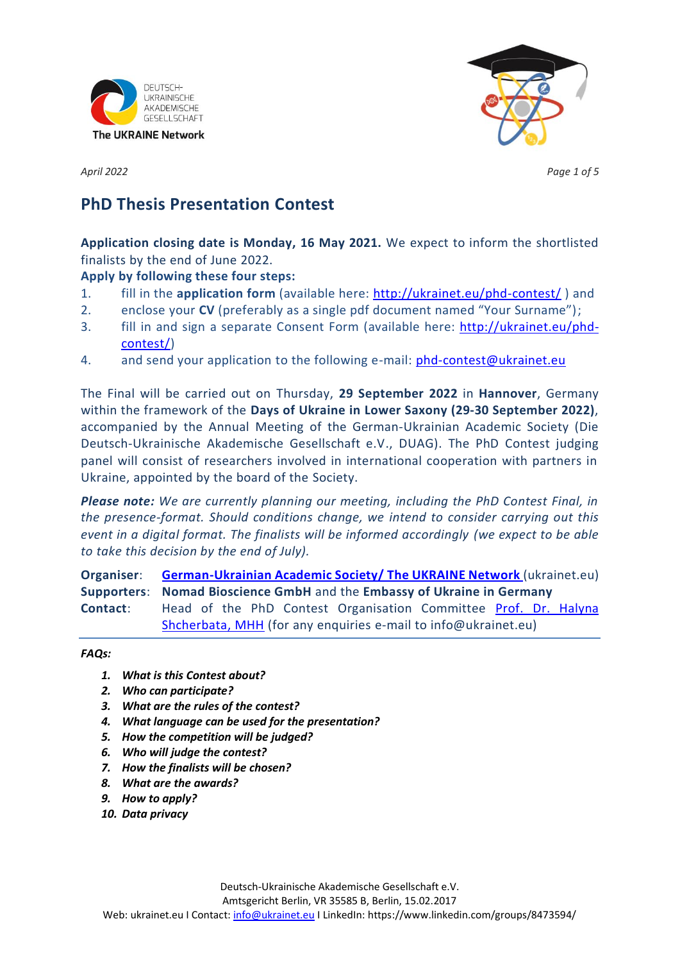



*April 2022 Page 1 of 5*

# **PhD Thesis Presentation Contest**

**Application closing date is Monday, 16 May 2021.** We expect to inform the shortlisted finalists by the end of June 2022.

## **Apply by following these four steps:**

- 1. fill in the **application form** (available here:<http://ukrainet.eu/phd-contest/> ) and
- 2. enclose your **CV** (preferably as a single pdf document named "Your Surname");
- 3. fill in and sign a separate Consent Form (available here: [http://ukrainet.eu/phd](http://ukrainet.eu/phd-contest/)[contest/\)](http://ukrainet.eu/phd-contest/)
- 4. and send your application to the following e-mail: [phd-contest@ukrainet.eu](mailto:phd-contest@ukrainet.eu)

The Final will be carried out on Thursday, **29 September 2022** in **Hannover**, Germany within the framework of the **Days of Ukraine in Lower Saxony (29-30 September 2022)**, accompanied by the Annual Meeting of the German-Ukrainian Academic Society (Die Deutsch-Ukrainische Akademische Gesellschaft e.V., DUAG). The PhD Contest judging panel will consist of researchers involved in international cooperation with partners in Ukraine, appointed by the board of the Society.

*Please note: We are currently planning our meeting, including the PhD Contest Final, in the presence-format. Should conditions change, we intend to consider carrying out this event in a digital format. The finalists will be informed accordingly (we expect to be able to take this decision by the end of July).*

**Organiser**: **[German-Ukrainian Academic Society/](http://www.ukrainet.eu/) The UKRAINE Network** (ukrainet.eu) **Supporters**: **Nomad Bioscience GmbH** and the **Embassy of Ukraine in Germany Contact**: Head of the PhD Contest Organisation Committee [Prof. Dr. Halyna](https://www.mhh.de/en/institute-zentren-forschungseinrichtungen/institut-fuer-zellbiochemie/wissenschaftliche-arbeitgruppen/translate-to-englisch-arbeitsgruppe-shcherbata)  [Shcherbata, MHH](https://www.mhh.de/en/institute-zentren-forschungseinrichtungen/institut-fuer-zellbiochemie/wissenschaftliche-arbeitgruppen/translate-to-englisch-arbeitsgruppe-shcherbata) (for any enquiries e-mail to info@ukrainet.eu)

*FAQs:*

- *1. What is this Contest about?*
- *2. Who can participate?*
- *3. What are the rules of the contest?*
- *4. What language can be used for the presentation?*
- *5. How the competition will be judged?*
- *6. Who will judge the contest?*
- *7. How the finalists will be chosen?*
- *8. What are the awards?*
- *9. How to apply?*
- *10. Data privacy*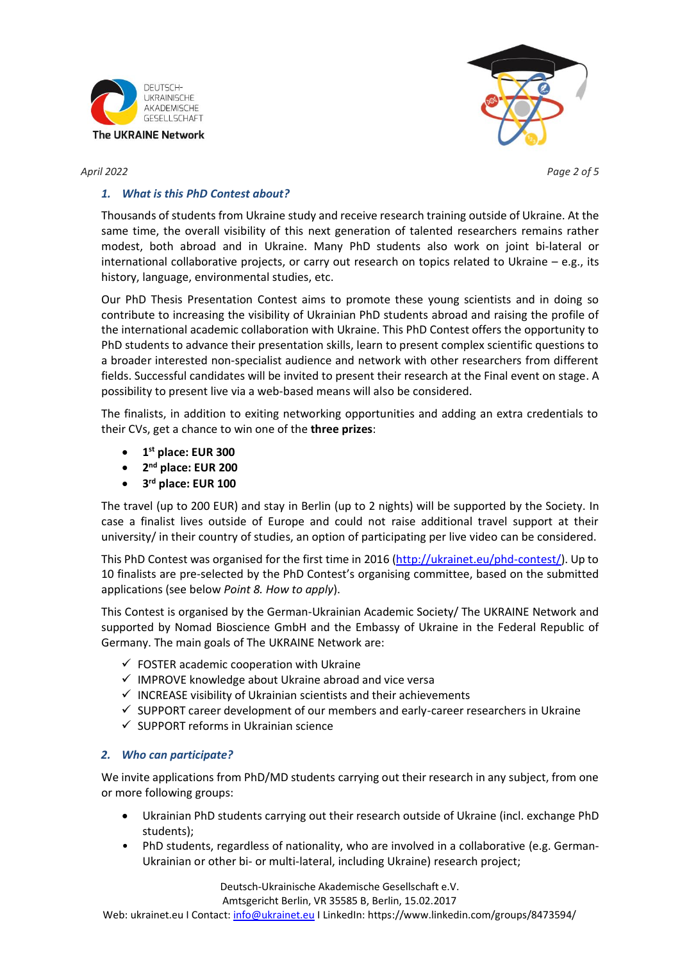



*April 2022 Page 2 of 5*

## *1. What is this PhD Contest about?*

Thousands of students from Ukraine study and receive research training outside of Ukraine. At the same time, the overall visibility of this next generation of talented researchers remains rather modest, both abroad and in Ukraine. Many PhD students also work on joint bi-lateral or international collaborative projects, or carry out research on topics related to Ukraine  $-$  e.g., its history, language, environmental studies, etc.

Our PhD Thesis Presentation Contest aims to promote these young scientists and in doing so contribute to increasing the visibility of Ukrainian PhD students abroad and raising the profile of the international academic collaboration with Ukraine. This PhD Contest offers the opportunity to PhD students to advance their presentation skills, learn to present complex scientific questions to a broader interested non-specialist audience and network with other researchers from different fields. Successful candidates will be invited to present their research at the Final event on stage. A possibility to present live via a web-based means will also be considered.

The finalists, in addition to exiting networking opportunities and adding an extra credentials to their CVs, get a chance to win one of the **three prizes**:

- **1 st place: EUR 300**
- **2 nd place: EUR 200**
- **3 rd place: EUR 100**

The travel (up to 200 EUR) and stay in Berlin (up to 2 nights) will be supported by the Society. In case a finalist lives outside of Europe and could not raise additional travel support at their university/ in their country of studies, an option of participating per live video can be considered.

This PhD Contest was organised for the first time in 2016 [\(http://ukrainet.eu/phd-contest/\)](http://ukrainet.eu/phd-contest/). Up to 10 finalists are pre-selected by the PhD Contest's organising committee, based on the submitted applications (see below *Point 8. How to apply*).

This Contest is organised by the German-Ukrainian Academic Society/ The UKRAINE Network and supported by Nomad Bioscience GmbH and the Embassy of Ukraine in the Federal Republic of Germany. The main goals of The UKRAINE Network are:

- $\checkmark$  FOSTER academic cooperation with Ukraine
- ✓ IMPROVE knowledge about Ukraine abroad and vice versa
- $\checkmark$  INCREASE visibility of Ukrainian scientists and their achievements
- $\checkmark$  SUPPORT career development of our members and early-career researchers in Ukraine
- $\checkmark$  SUPPORT reforms in Ukrainian science

#### *2. Who can participate?*

We invite applications from PhD/MD students carrying out their research in any subject, from one or more following groups:

- Ukrainian PhD students carrying out their research outside of Ukraine (incl. exchange PhD students);
- PhD students, regardless of nationality, who are involved in a collaborative (e.g. German-Ukrainian or other bi- or multi-lateral, including Ukraine) research project;

Deutsch-Ukrainische Akademische Gesellschaft e.V.

Amtsgericht Berlin, VR 35585 B, Berlin, 15.02.2017

Web: ukrainet.eu I Contact[: info@ukrainet.eu](mailto:info@ukrainet.eu) I LinkedIn: https://www.linkedin.com/groups/8473594/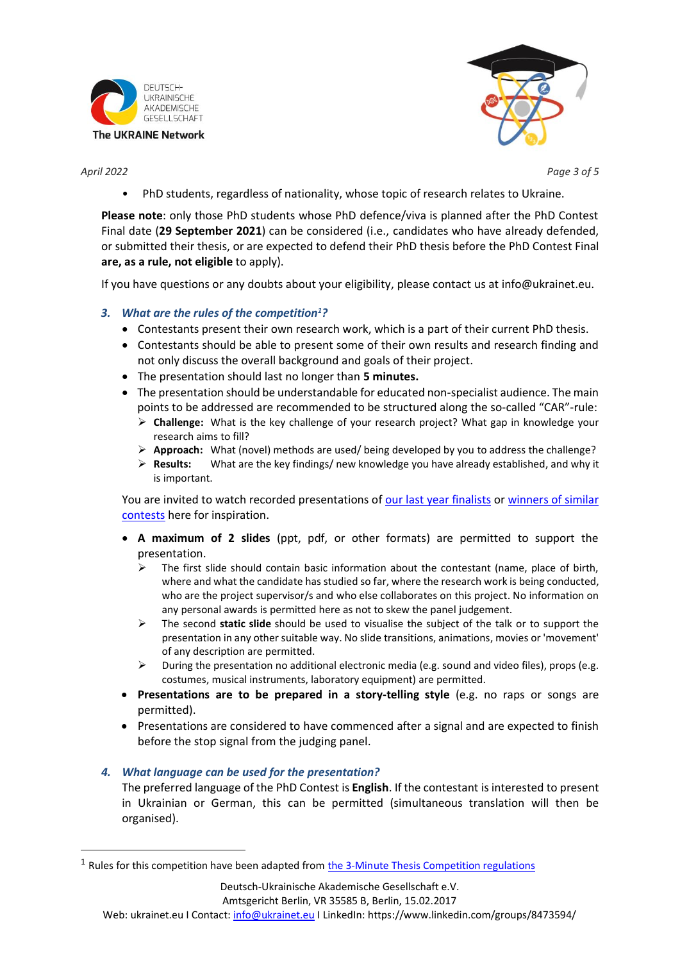



*April 2022 Page 3 of 5*

• PhD students, regardless of nationality, whose topic of research relates to Ukraine.

**Please note**: only those PhD students whose PhD defence/viva is planned after the PhD Contest Final date (**29 September 2021**) can be considered (i.e., candidates who have already defended, or submitted their thesis, or are expected to defend their PhD thesis before the PhD Contest Final **are, as a rule, not eligible** to apply).

If you have questions or any doubts about your eligibility, please contact us at info@ukrainet.eu.

### *3. What are the rules of the competition<sup>1</sup>?*

- Contestants present their own research work, which is a part of their current PhD thesis.
- Contestants should be able to present some of their own results and research finding and not only discuss the overall background and goals of their project.
- The presentation should last no longer than **5 minutes.**
- The presentation should be understandable for educated non-specialist audience. The main points to be addressed are recommended to be structured along the so-called "CAR"-rule:
	- ➢ **Challenge:** What is the key challenge of your research project? What gap in knowledge your research aims to fill?
	- ➢ **Approach:** What (novel) methods are used/ being developed by you to address the challenge?
	- ➢ **Results:** What are the key findings/ new knowledge you have already established, and why it is important.

You are invited to watch recorded presentations of [our last year](https://www.youtube.com/watch?v=w0eD4Dolb6o&t=2185s) finalists or [winners of similar](http://threeminutethesis.org/3mt-showcase.)  [contests](http://threeminutethesis.org/3mt-showcase.) here for inspiration.

- **A maximum of 2 slides** (ppt, pdf, or other formats) are permitted to support the presentation.
	- $\triangleright$  The first slide should contain basic information about the contestant (name, place of birth, where and what the candidate has studied so far, where the research work is being conducted, who are the project supervisor/s and who else collaborates on this project. No information on any personal awards is permitted here as not to skew the panel judgement.
	- ➢ The second **static slide** should be used to visualise the subject of the talk or to support the presentation in any other suitable way. No slide transitions, animations, movies or 'movement' of any description are permitted.
	- $\triangleright$  During the presentation no additional electronic media (e.g. sound and video files), props (e.g. costumes, musical instruments, laboratory equipment) are permitted.
- **Presentations are to be prepared in a story-telling style** (e.g. no raps or songs are permitted).
- Presentations are considered to have commenced after a signal and are expected to finish before the stop signal from the judging panel.

#### *4. What language can be used for the presentation?*

The preferred language of the PhD Contest is **English**. If the contestant is interested to present in Ukrainian or German, this can be permitted (simultaneous translation will then be organised).

 $<sup>1</sup>$  Rules for this competition have been adapted from [the 3-Minute Thesis Competition regulations](http://threeminutethesis.org/index.html?page=191546&pid=193447)</sup>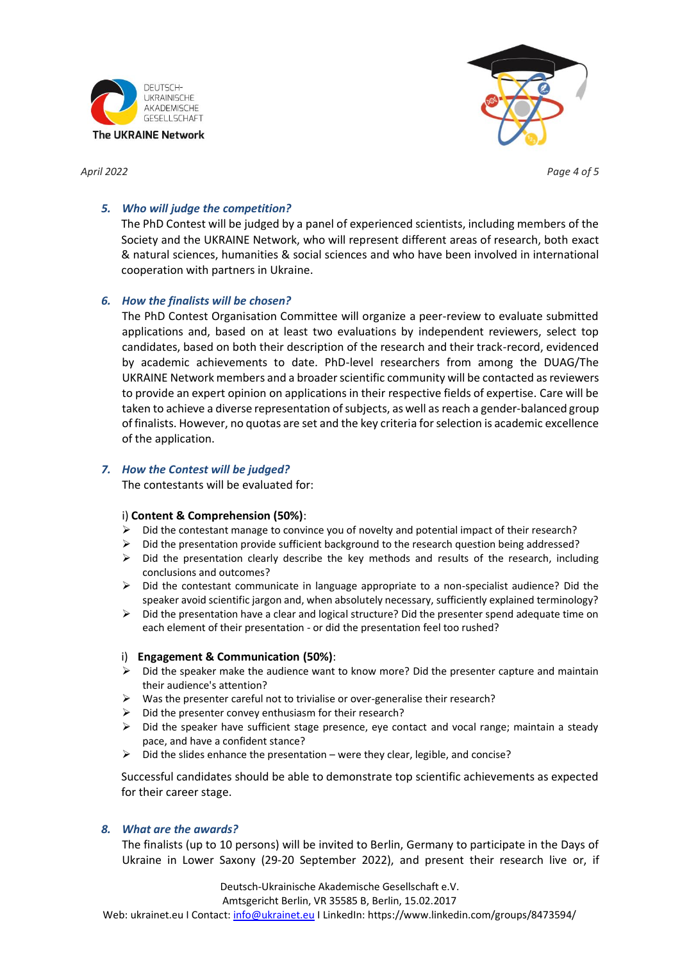



*April 2022 Page 4 of 5*

### *5. Who will judge the competition?*

The PhD Contest will be judged by a panel of experienced scientists, including members of the Society and the UKRAINE Network, who will represent different areas of research, both exact & natural sciences, humanities & social sciences and who have been involved in international cooperation with partners in Ukraine.

### *6. How the finalists will be chosen?*

The PhD Contest Organisation Committee will organize a peer-review to evaluate submitted applications and, based on at least two evaluations by independent reviewers, select top candidates, based on both their description of the research and their track-record, evidenced by academic achievements to date. PhD-level researchers from among the DUAG/The UKRAINE Network members and a broader scientific community will be contacted as reviewers to provide an expert opinion on applications in their respective fields of expertise. Care will be taken to achieve a diverse representation of subjects, as well as reach a gender-balanced group of finalists. However, no quotas are set and the key criteria for selection is academic excellence of the application.

### *7. How the Contest will be judged?*

The contestants will be evaluated for:

#### i) **Content & Comprehension (50%)**:

- ➢ Did the contestant manage to convince you of novelty and potential impact of their research?
- ➢ Did the presentation provide sufficient background to the research question being addressed?
- $\triangleright$  Did the presentation clearly describe the key methods and results of the research, including conclusions and outcomes?
- $\triangleright$  Did the contestant communicate in language appropriate to a non-specialist audience? Did the speaker avoid scientific jargon and, when absolutely necessary, sufficiently explained terminology?
- $\triangleright$  Did the presentation have a clear and logical structure? Did the presenter spend adequate time on each element of their presentation - or did the presentation feel too rushed?

#### i) **Engagement & Communication (50%)**:

- $\triangleright$  Did the speaker make the audience want to know more? Did the presenter capture and maintain their audience's attention?
- ➢ Was the presenter careful not to trivialise or over-generalise their research?
- $\triangleright$  Did the presenter convey enthusiasm for their research?
- $\triangleright$  Did the speaker have sufficient stage presence, eye contact and vocal range; maintain a steady pace, and have a confident stance?
- $\triangleright$  Did the slides enhance the presentation were they clear, legible, and concise?

Successful candidates should be able to demonstrate top scientific achievements as expected for their career stage.

#### *8. What are the awards?*

The finalists (up to 10 persons) will be invited to Berlin, Germany to participate in the Days of Ukraine in Lower Saxony (29-20 September 2022), and present their research live or, if

Deutsch-Ukrainische Akademische Gesellschaft e.V. Amtsgericht Berlin, VR 35585 B, Berlin, 15.02.2017 Web: ukrainet.eu I Contact[: info@ukrainet.eu](mailto:info@ukrainet.eu) I LinkedIn: https://www.linkedin.com/groups/8473594/